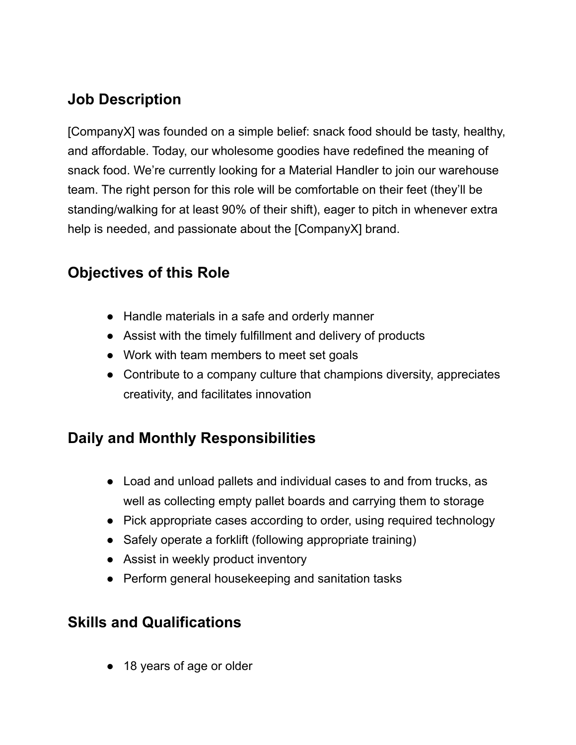# **Job Description**

[CompanyX] was founded on a simple belief: snack food should be tasty, healthy, and affordable. Today, our wholesome goodies have redefined the meaning of snack food. We're currently looking for a Material Handler to join our warehouse team. The right person for this role will be comfortable on their feet (they'll be standing/walking for at least 90% of their shift), eager to pitch in whenever extra help is needed, and passionate about the [CompanyX] brand.

## **Objectives of this Role**

- Handle materials in a safe and orderly manner
- Assist with the timely fulfillment and delivery of products
- Work with team members to meet set goals
- Contribute to a company culture that champions diversity, appreciates creativity, and facilitates innovation

## **Daily and Monthly Responsibilities**

- Load and unload pallets and individual cases to and from trucks, as well as collecting empty pallet boards and carrying them to storage
- Pick appropriate cases according to order, using required technology
- Safely operate a forklift (following appropriate training)
- Assist in weekly product inventory
- Perform general housekeeping and sanitation tasks

### **Skills and Qualifications**

● 18 years of age or older